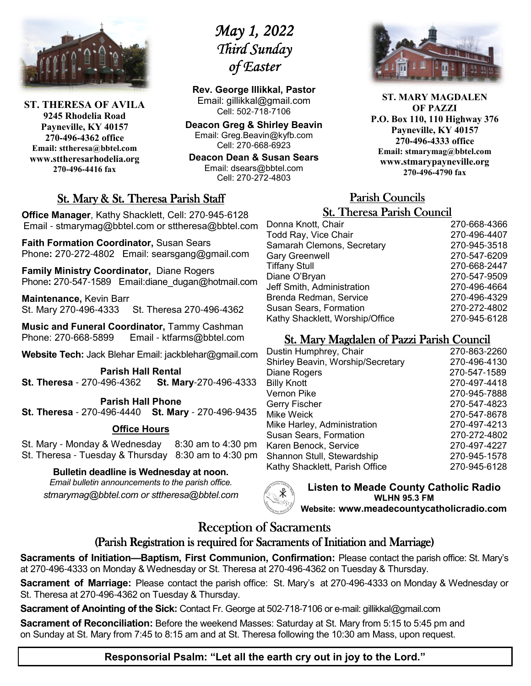

**ST. THERESA OF AVILA 9245 Rhodelia Road Payneville, KY 40157 270-496-4362 office Email: sttheresa@bbtel.com www.sttheresarhodelia.org 270-496-4416 fax**

# *May 1, 2022 Third Sunday Third of Easter*

**Rev. George Illikkal, Pastor** Email: gillikkal@gmail.com Cell: 502-718-7106

**Deacon Greg & Shirley Beavin** Email: Greg.Beavin@kyfb.com Cell: 270-668-6923

**Deacon Dean & Susan Sears** Email: dsears@bbtel.com Cell: 270-272-4803

# St. Mary & St. Theresa Parish Staff

**Office Manager**, Kathy Shacklett, Cell: 270-945-6128 Email - stmarymag@bbtel.com or sttheresa@bbtel.com

**Faith Formation Coordinator,** Susan Sears Phone**:** 270-272-4802Email: searsgang@gmail.com

**Family Ministry Coordinator,** Diane Rogers Phone: 270-547-1589 Email:diane\_dugan@hotmail.com

**Maintenance,** Kevin Barr St. Mary 270-496-4333 St. Theresa 270-496-4362

**Music and Funeral Coordinator,** Tammy Cashman Phone: 270-668-5899 Email - ktfarms@bbtel.com

**Website Tech:** Jack Blehar Email: jackblehar@gmail.com

**Parish Hall Rental St. Theresa** - 270-496-4362 **St. Mary**-270-496-4333

#### **Parish Hall Phone St. Theresa** - 270-496-4440 **St. Mary** - 270-496-9435

### **Office Hours**

St. Mary - Monday & Wednesday 8:30 am to 4:30 pm St. Theresa - Tuesday & Thursday 8:30 am to 4:30 pm

#### **Bulletin deadline is Wednesday at noon.**

*Email bulletin announcements to the parish office. stmarymag@bbtel.com or sttheresa@bbtel.com*



**Listen to Meade County Catholic Radio WLHN 95.3 FM Website: www.meadecountycatholicradio.com**

# Reception of Sacraments

# (Parish Registration is required for Sacraments of Initiation and Marriage)

**Sacraments of Initiation—Baptism, First Communion, Confirmation:** Please contact the parish office: St. Mary's at 270-496-4333 on Monday & Wednesday or St. Theresa at 270-496-4362 on Tuesday & Thursday.

**Sacrament of Marriage:** Please contact the parish office: St. Mary's at 270-496-4333 on Monday & Wednesday or St. Theresa at 270-496-4362 on Tuesday & Thursday.

**Sacrament of Anointing of the Sick:** Contact Fr. George at 502-718-7106 or e-mail: gillikkal@gmail.com

**Sacrament of Reconciliation:** Before the weekend Masses: Saturday at St. Mary from 5:15 to 5:45 pm and on Sunday at St. Mary from 7:45 to 8:15 am and at St. Theresa following the 10:30 am Mass, upon request.

**ST. MARY MAGDALEN OF PAZZI P.O. Box 110, 110 Highway 376 Payneville, KY 40157 270-496-4333 office Email: stmarymag@bbtel.com www.stmarypayneville.org 270-496-4790 fax**

# Parish Councils Parish Councils

| <b>St. Theresa Parish Council</b> |              |  |  |
|-----------------------------------|--------------|--|--|
| Donna Knott, Chair                | 270-668-4366 |  |  |
| Todd Ray, Vice Chair              | 270-496-4407 |  |  |
| Samarah Clemons, Secretary        | 270-945-3518 |  |  |
| <b>Gary Greenwell</b>             | 270-547-6209 |  |  |
| <b>Tiffany Stull</b>              | 270-668-2447 |  |  |
| Diane O'Bryan                     | 270-547-9509 |  |  |
| Jeff Smith, Administration        | 270-496-4664 |  |  |
| Brenda Redman, Service            | 270-496-4329 |  |  |
| <b>Susan Sears, Formation</b>     | 270-272-4802 |  |  |
| Kathy Shacklett, Worship/Office   | 270-945-6128 |  |  |

# St. Mary Magdalen of Pazzi Parish Council

| Dustin Humphrey, Chair            | 270-863-2260 |
|-----------------------------------|--------------|
| Shirley Beavin, Worship/Secretary | 270-496-4130 |
| Diane Rogers                      | 270-547-1589 |
| <b>Billy Knott</b>                | 270-497-4418 |
| Vernon Pike                       | 270-945-7888 |
| Gerry Fischer                     | 270-547-4823 |
| Mike Weick                        | 270-547-8678 |
| Mike Harley, Administration       | 270-497-4213 |
| <b>Susan Sears, Formation</b>     | 270-272-4802 |
| Karen Benock, Service             | 270-497-4227 |
| Shannon Stull, Stewardship        | 270-945-1578 |
| Kathy Shacklett, Parish Office    | 270-945-6128 |
|                                   |              |

**Responsorial Psalm: "Let all the earth cry out in joy to the Lord."**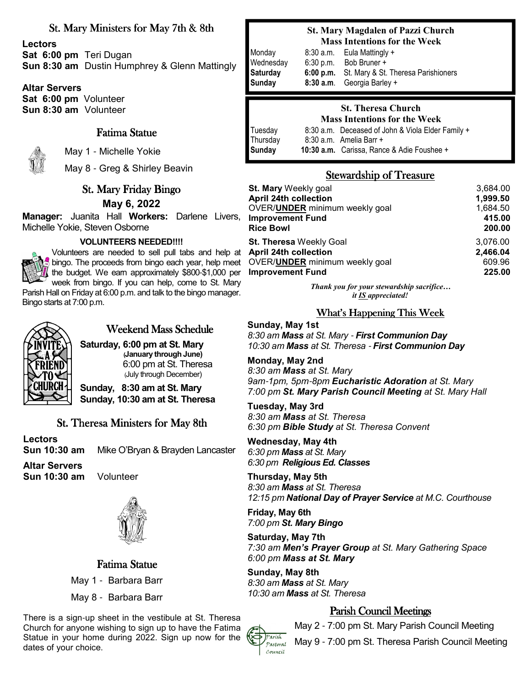### St. Mary Ministers for May 7th & 8th

**Lectors Sat 6:00 pm** Teri Dugan **Sun 8:30 am** Dustin Humphrey & Glenn Mattingly

**Altar Servers Sat 6:00 pm** Volunteer **Sun 8:30 am** Volunteer

### Fatima Statue



May 1 - Michelle Yokie

May 8 - Greg & Shirley Beavin

# St. Mary Friday Bingo **May 6, 2022**

**Manager:** Juanita Hall **Workers:** Darlene Livers, Michelle Yokie, Steven Osborne

#### **VOLUNTEERS NEEDED!!!!**



Volunteers are needed to sell pull tabs and help at bingo. The proceeds from bingo each year, help meet the budget. We earn approximately \$800-\$1,000 per week from bingo. If you can help, come to St. Mary

Parish Hall on Friday at 6:00 p.m. and talk to the bingo manager. Bingo starts at 7:00 p.m.



# Weekend Mass Schedule

**Saturday, 6:00 pm at St. Mary (January through June)**  6:00 pm at St. Theresa (July through December)

**Sunday, 8:30 am at St. Mary Sunday, 10:30 am at St. Theresa**

#### St. Theresa Ministers for May 8th.

Lectors<br>Sun 10:30 am Mike O'Bryan & Brayden Lancaster

**Altar Servers**

**Sun 10:30 am** Volunteer



Fatima Statue

May 1 - Barbara Barr

May 8 - Barbara Barr

There is a sign-up sheet in the vestibule at St. Theresa Church for anyone wishing to sign up to have the Fatima Statue in your home during 2022. Sign up now for the dates of your choice.

#### **St. Mary Magdalen of Pazzi Church Mass Intentions for the Week**

| Monday             | 8:30a.m.  | Eula Mattingly +                                                  |
|--------------------|-----------|-------------------------------------------------------------------|
| Wednesday          | 6:30 p.m. | Bob Bruner +                                                      |
| Saturday<br>Sunday | 6:00 p.m. | St. Mary & St. Theresa Parishioners<br>8:30 a.m. Georgia Barley + |

#### **St. Theresa Church Mass Intentions for the Week**

| Tuesday  | 8:30 a.m. Deceased of John & Viola Elder Family + |
|----------|---------------------------------------------------|
| Thursday | 8:30 a.m. Amelia Barr +                           |
| Sunday   | 10:30 a.m. Carissa, Rance & Adie Foushee +        |
|          |                                                   |

# Stewardship of Treasure

| <b>St. Mary Weekly goal</b>            | 3,684.00 |
|----------------------------------------|----------|
| <b>April 24th collection</b>           | 1,999.50 |
| OVER/UNDER minimum weekly goal         | 1,684.50 |
| <b>Improvement Fund</b>                | 415.00   |
| <b>Rice Bowl</b>                       | 200.00   |
| <b>St. Theresa Weekly Goal</b>         | 3,076.00 |
| <b>April 24th collection</b>           | 2,466.04 |
| OVER/ <b>UNDER</b> minimum weekly goal | 609.96   |
| <b>Improvement Fund</b>                | 225.00   |

*Thank you for your stewardship sacrifice… it IS appreciated!*

What's Happening This Week

**Sunday, May 1st** *8:30 am Mass at St. Mary* - *First Communion Day 10:30 am Mass at St. Theresa* - *First Communion Day*

**Monday, May 2nd** *8:30 am Mass at St. Mary 9am*-*1pm, 5pm*-*8pm Eucharistic Adoration at St. Mary 7:00 pm St. Mary Parish Council Meeting at St. Mary Hall* 

**Tuesday, May 3rd** *8:30 am Mass at St. Theresa 6:30 pm Bible Study at St. Theresa Convent*

**Wednesday, May 4th** *6:30 pm Mass at St. Mary 6:30 pm Religious Ed. Classes* 

**Thursday, May 5th** *8:30 am Mass at St. Theresa 12:15 pm National Day of Prayer Service at M.C. Courthouse*

**Friday, May 6th** *7:00 pm St. Mary Bingo* 

**Saturday, May 7th** *7:30 am Men's Prayer Group at St. Mary Gathering Space 6:00 pm Mass at St. Mary* 

**Sunday, May 8th** *8:30 am Mass at St. Mary 10:30 am Mass at St. Theresa* 

# Parish Council Meetings

May 2 - 7:00 pm St. Mary Parish Council Meeting



May 9 - 7:00 pm St. Theresa Parish Council Meeting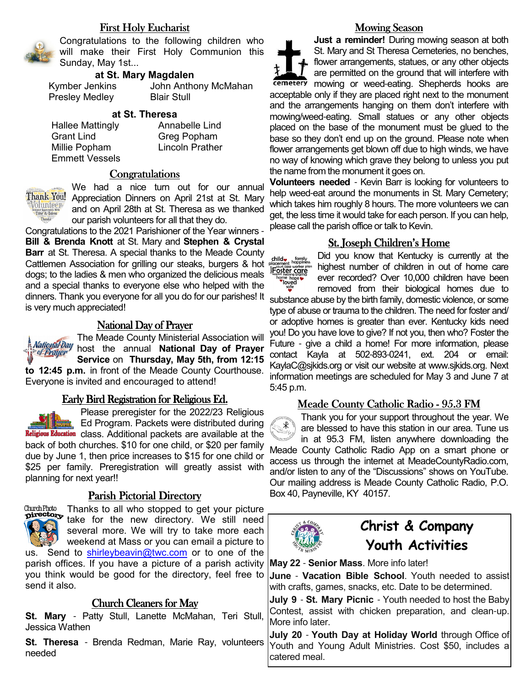### First Holy Eucharist



Congratulations to the following children who will make their First Holy Communion this Sunday, May 1st...

#### **at St. Mary Magdalen**

Presley Medley Blair Stull

Kymber Jenkins John Anthony McMahan

#### **at St. Theresa**

Hallee Mattingly **Annabelle Lind**  Grant Lind Greg Popham Millie Popham Lincoln Prather Emmett Vessels

#### **Congratulations**



We had a nice turn out for our annual Thank You! Appreciation Dinners on April 21st at St. Mary and on April 28th at St. Theresa as we thanked our parish volunteers for all that they do.

Congratulations to the 2021 Parishioner of the Year winners - **Bill & Brenda Knott** at St. Mary and **Stephen & Crystal Barr** at St. Theresa. A special thanks to the Meade County Cattlemen Association for grilling our steaks, burgers & hot dogs; to the ladies & men who organized the delicious meals and a special thanks to everyone else who helped with the dinners. Thank you everyone for all you do for our parishes! It is very much appreciated!

#### National Day of Prayer

The Meade County Ministerial Association will **National Day** host the annual **National Day of Prayer**  of Prayer **Service** on **Thursday, May 5th, from 12:15 to 12:45 p.m.** in front of the Meade County Courthouse. Everyone is invited and encouraged to attend!

#### Early Bird Registration for Religious Ed.

Please preregister for the 2022/23 Religious Ed Program. Packets were distributed during Religious Education class. Additional packets are available at the back of both churches. \$10 for one child, or \$20 per family due by June 1, then price increases to \$15 for one child or \$25 per family. Preregistration will greatly assist with planning for next year!!

#### Parish Pictorial Directory



Thanks to all who stopped to get your picture take for the new directory. We still need several more. We will try to take more each weekend at Mass or you can email a picture to us. Send to shirleybeavin@twc.com or to one of the

parish offices. If you have a picture of a parish activity you think would be good for the directory, feel free to send it also.

#### Church Cleaners for May

**St. Mary** - Patty Stull, Lanette McMahan, Teri Stull, Jessica Wathen

**St. Theresa** - Brenda Redman, Marie Ray, volunteers needed

#### **Mowing Season**

**Just a reminder!** During mowing season at both St. Mary and St Theresa Cemeteries, no benches, flower arrangements, statues, or any other objects are permitted on the ground that will interfere with cemetery mowing or weed-eating. Shepherds hooks are acceptable only if they are placed right next to the monument and the arrangements hanging on them don't interfere with mowing/weed-eating. Small statues or any other objects placed on the base of the monument must be glued to the base so they don't end up on the ground. Please note when flower arrangements get blown off due to high winds, we have no way of knowing which grave they belong to unless you put the name from the monument it goes on.

**Volunteers needed** - Kevin Barr is looking for volunteers to help weed-eat around the monuments in St. Mary Cemetery; which takes him roughly 8 hours. The more volunteers we can get, the less time it would take for each person. If you can help, please call the parish office or talk to Kevin.

#### St. Joseph Children's Home



Did you know that Kentucky is currently at the highest number of children in out of home care ever recorded? Over 10,000 children have been

removed from their biological homes due to substance abuse by the birth family, domestic violence, or some type of abuse or trauma to the children. The need for foster and/ or adoptive homes is greater than ever. Kentucky kids need you! Do you have love to give? If not you, then who? Foster the Future - give a child a home! For more information, please contact Kayla at 502-893-0241, ext. 204 or email: KaylaC@sjkids.org or visit our website at www.sjkids.org. Next information meetings are scheduled for May 3 and June 7 at 5:45 p.m.

#### Meade County Catholic Radio - 95.3 FM

Thank you for your support throughout the year. We ั้⊁ are blessed to have this station in our area. Tune us in at 95.3 FM, listen anywhere downloading the Meade County Catholic Radio App on a smart phone or access us through the internet at MeadeCountyRadio.com, and/or listen to any of the "Discussions" shows on YouTube. Our mailing address is Meade County Catholic Radio, P.O. Box 40, Payneville, KY 40157.



# **Christ & Company Youth Activities**

**May 22** - **Senior Mass**. More info later!

**June** - **Vacation Bible School**. Youth needed to assist with crafts, games, snacks, etc. Date to be determined.

**July 9** - **St. Mary Picnic** - Youth needed to host the Baby Contest, assist with chicken preparation, and clean-up. More info later.

**July 20** - **Youth Day at Holiday World** through Office of Youth and Young Adult Ministries. Cost \$50, includes a catered meal.